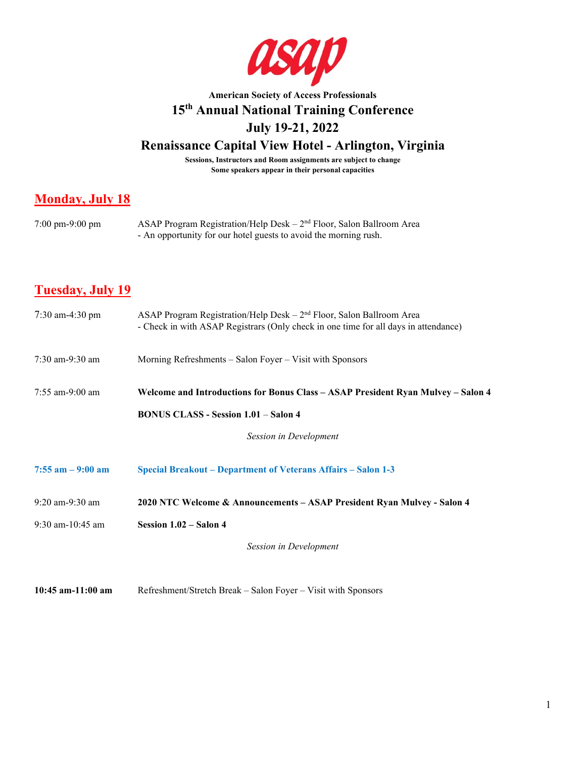

# **American Society of Access Professionals 15th Annual National Training Conference July 19-21, 2022**

# **Renaissance Capital View Hotel - Arlington, Virginia**

**Sessions, Instructors and Room assignments are subject to change Some speakers appear in their personal capacities**

## **Monday, July 18**

| $7:00 \text{ pm}-9:00 \text{ pm}$ | ASAP Program Registration/Help Desk $-2nd$ Floor, Salon Ballroom Area |
|-----------------------------------|-----------------------------------------------------------------------|
|                                   | - An opportunity for our hotel guests to avoid the morning rush.      |

# **Tuesday, July 19**

| $7:30$ am-4:30 pm    | ASAP Program Registration/Help Desk $-2nd$ Floor, Salon Ballroom Area<br>- Check in with ASAP Registrars (Only check in one time for all days in attendance) |
|----------------------|--------------------------------------------------------------------------------------------------------------------------------------------------------------|
| 7:30 am-9:30 am      | Morning Refreshments – Salon Foyer – Visit with Sponsors                                                                                                     |
| 7:55 am-9:00 am      | Welcome and Introductions for Bonus Class - ASAP President Ryan Mulvey - Salon 4                                                                             |
|                      | <b>BONUS CLASS - Session 1.01 - Salon 4</b>                                                                                                                  |
|                      | Session in Development                                                                                                                                       |
| $7:55$ am $-9:00$ am | Special Breakout – Department of Veterans Affairs – Salon 1-3                                                                                                |
| 9:20 am-9:30 am      | 2020 NTC Welcome & Announcements - ASAP President Ryan Mulvey - Salon 4                                                                                      |
| 9:30 am-10:45 am     | Session 1.02 - Salon 4                                                                                                                                       |
|                      | Session in Development                                                                                                                                       |
|                      |                                                                                                                                                              |

**10:45 am-11:00 am** Refreshment/Stretch Break – Salon Foyer – Visit with Sponsors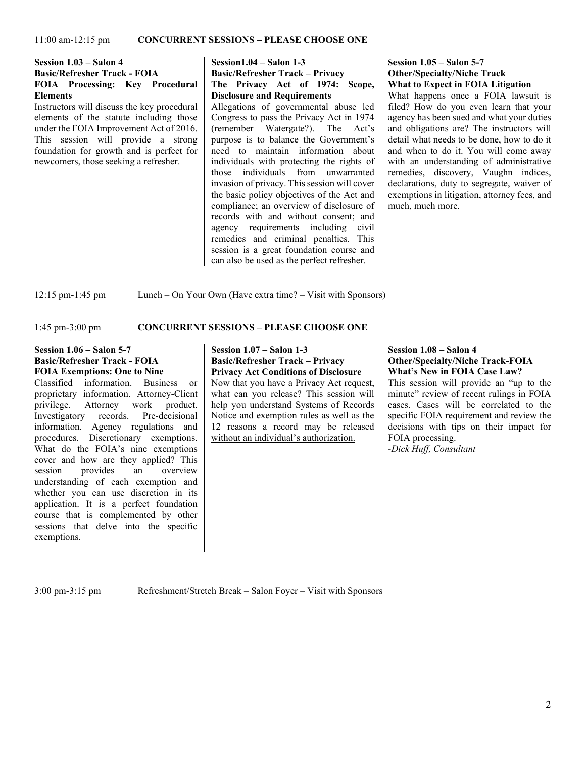#### **Session 1.03 – Salon 4 Basic/Refresher Track - FOIA FOIA Processing: Key Procedural Elements**

Instructors will discuss the key procedural elements of the statute including those under the FOIA Improvement Act of 2016. This session will provide a strong foundation for growth and is perfect for newcomers, those seeking a refresher.

#### **Session1.04 – Salon 1-3 Basic/Refresher Track – Privacy The Privacy Act of 1974: Scope, Disclosure and Requirements**

Allegations of governmental abuse led Congress to pass the Privacy Act in 1974 (remember Watergate?). The Act's purpose is to balance the Government's need to maintain information about individuals with protecting the rights of those individuals from unwarranted invasion of privacy. This session will cover the basic policy objectives of the Act and compliance; an overview of disclosure of records with and without consent; and agency requirements including civil remedies and criminal penalties. This session is a great foundation course and can also be used as the perfect refresher.

#### **Session 1.05 – Salon 5-7 Other/Specialty/Niche Track What to Expect in FOIA Litigation**

What happens once a FOIA lawsuit is filed? How do you even learn that your agency has been sued and what your duties and obligations are? The instructors will detail what needs to be done, how to do it and when to do it. You will come away with an understanding of administrative remedies, discovery, Vaughn indices, declarations, duty to segregate, waiver of exemptions in litigation, attorney fees, and much, much more.

12:15 pm-1:45 pm Lunch – On Your Own (Have extra time? – Visit with Sponsors)

#### 1:45 pm-3:00 pm **CONCURRENT SESSIONS – PLEASE CHOOSE ONE**

#### **Session 1.06 – Salon 5-7 Basic/Refresher Track - FOIA FOIA Exemptions: One to Nine**

Classified information. Business or proprietary information. Attorney-Client<br>privilege. Attorney work product. privilege. Investigatory records. Pre-decisional information. Agency regulations and procedures. Discretionary exemptions. What do the FOIA's nine exemptions cover and how are they applied? This session provides an overview understanding of each exemption and whether you can use discretion in its application. It is a perfect foundation course that is complemented by other sessions that delve into the specific exemptions.

#### **Session 1.07 – Salon 1-3 Basic/Refresher Track – Privacy Privacy Act Conditions of Disclosure**

Now that you have a Privacy Act request, what can you release? This session will help you understand Systems of Records Notice and exemption rules as well as the 12 reasons a record may be released without an individual's authorization.

#### **Session 1.08 – Salon 4 Other/Specialty/Niche Track-FOIA What's New in FOIA Case Law?**

This session will provide an "up to the minute" review of recent rulings in FOIA cases. Cases will be correlated to the specific FOIA requirement and review the decisions with tips on their impact for FOIA processing. *-Dick Huff, Consultant*

3:00 pm-3:15 pm Refreshment/Stretch Break – Salon Foyer – Visit with Sponsors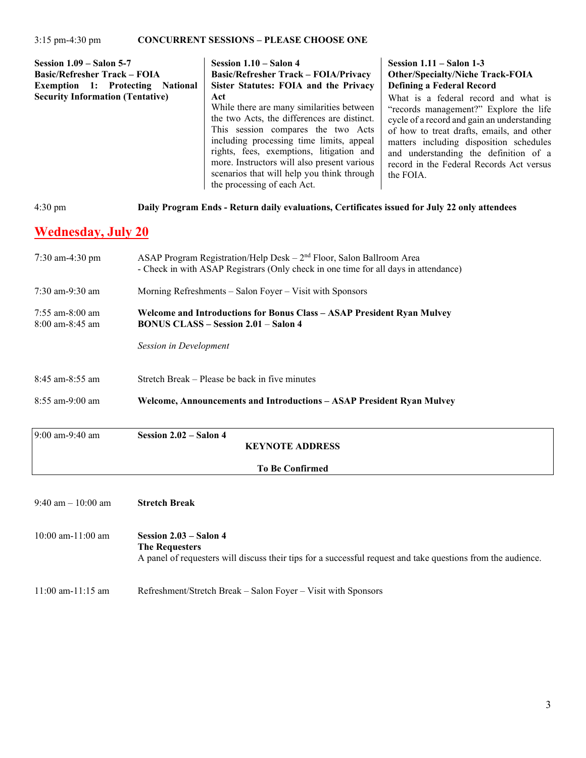| Session $1.09$ – Salon 5-7<br><b>Basic/Refresher Track – FOIA</b><br><b>Exemption 1: Protecting</b><br><b>National</b><br><b>Security Information (Tentative)</b> | Session $1.10 -$ Salon 4<br><b>Basic/Refresher Track – FOIA/Privacy</b><br>Sister Statutes: FOIA and the Privacy<br>Act<br>While there are many similarities between<br>the two Acts, the differences are distinct.<br>This session compares the two Acts<br>including processing time limits, appeal<br>rights, fees, exemptions, litigation and<br>more. Instructors will also present various | Session $1.11 -$ Salon 1-3<br><b>Other/Specialty/Niche Track-FOIA</b><br><b>Defining a Federal Record</b><br>What is a federal record and what is<br>"records management?" Explore the life<br>cycle of a record and gain an understanding<br>of how to treat drafts, emails, and other<br>matters including disposition schedules<br>and understanding the definition of a |
|-------------------------------------------------------------------------------------------------------------------------------------------------------------------|--------------------------------------------------------------------------------------------------------------------------------------------------------------------------------------------------------------------------------------------------------------------------------------------------------------------------------------------------------------------------------------------------|-----------------------------------------------------------------------------------------------------------------------------------------------------------------------------------------------------------------------------------------------------------------------------------------------------------------------------------------------------------------------------|
|                                                                                                                                                                   | scenarios that will help you think through<br>the processing of each Act.                                                                                                                                                                                                                                                                                                                        | record in the Federal Records Act versus<br>the FOIA.                                                                                                                                                                                                                                                                                                                       |

#### 4:30 pm **Daily Program Ends - Return daily evaluations, Certificates issued for July 22 only attendees**

## **Wednesday, July 20**

| $7:30$ am-4:30 pm                         | ASAP Program Registration/Help Desk $-2nd$ Floor, Salon Ballroom Area<br>- Check in with ASAP Registrars (Only check in one time for all days in attendance) |  |
|-------------------------------------------|--------------------------------------------------------------------------------------------------------------------------------------------------------------|--|
| $7:30$ am-9:30 am                         | Morning Refreshments – Salon Foyer – Visit with Sponsors                                                                                                     |  |
| $7:55$ am-8:00 am<br>$8:00$ am- $8:45$ am | Welcome and Introductions for Bonus Class - ASAP President Ryan Mulvey<br><b>BONUS CLASS – Session 2.01 – Salon 4</b>                                        |  |
|                                           | Session in Development                                                                                                                                       |  |
| $8:45$ am- $8:55$ am                      | Stretch Break – Please be back in five minutes                                                                                                               |  |
| $8:55$ am-9:00 am                         | Welcome, Announcements and Introductions – ASAP President Ryan Mulvey                                                                                        |  |
| 0.0000010                                 | $C_1, \ldots, C_n, C_1, \ldots, C_n$                                                                                                                         |  |

| 9:00 am-9:40 am | Session $2.02$ – Salon 4 | <b>KEYNOTE ADDRESS</b> |
|-----------------|--------------------------|------------------------|
|                 |                          | <b>To Be Confirmed</b> |

### 9:40 am – 10:00 am **Stretch Break**

- 10:00 am-11:00 am **Session 2.03 Salon 4 The Requesters**  A panel of requesters will discuss their tips for a successful request and take questions from the audience.
- 11:00 am-11:15 am Refreshment/Stretch Break Salon Foyer Visit with Sponsors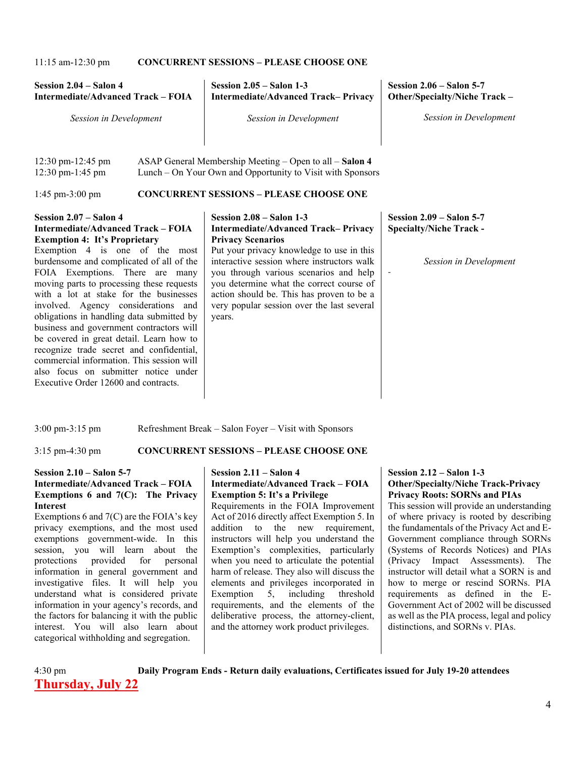11:15 am-12:30 pm **CONCURRENT SESSIONS – PLEASE CHOOSE ONE**

| Session 2.04 – Salon 4<br><b>Intermediate/Advanced Track - FOIA</b> | Session $2.05 -$ Salon 1-3<br><b>Intermediate/Advanced Track-Privacy</b> | Session $2.06 -$ Salon 5-7<br>Other/Specialty/Niche Track – |
|---------------------------------------------------------------------|--------------------------------------------------------------------------|-------------------------------------------------------------|
| Session in Development                                              | Session in Development                                                   | <b>Session in Development</b>                               |
|                                                                     |                                                                          |                                                             |

| $12:30 \text{ pm} - 12:45 \text{ pm}$ | ASAP General Membership Meeting $-$ Open to all $-$ Salon 4 |
|---------------------------------------|-------------------------------------------------------------|
| $12:30 \text{ pm}-1:45 \text{ pm}$    | Lunch – On Your Own and Opportunity to Visit with Sponsors  |

#### 1:45 pm-3:00 pm **CONCURRENT SESSIONS – PLEASE CHOOSE ONE**

#### **Session 2.07 – Salon 4 Intermediate/Advanced Track – FOIA Exemption 4: It's Proprietary**

Exemption 4 is one of the most burdensome and complicated of all of the FOIA Exemptions. There are many moving parts to processing these requests with a lot at stake for the businesses involved. Agency considerations and obligations in handling data submitted by business and government contractors will be covered in great detail. Learn how to recognize trade secret and confidential, commercial information. This session will also focus on submitter notice under Executive Order 12600 and contracts.

#### **Session 2.08 – Salon 1-3 Intermediate/Advanced Track– Privacy Privacy Scenarios**

Put your privacy knowledge to use in this interactive session where instructors walk you through various scenarios and help you determine what the correct course of action should be. This has proven to be a very popular session over the last several years.

#### **Session 2.09 – Salon 5-7 Specialty/Niche Track -**

*-*

*Session in Development*

3:00 pm-3:15 pm Refreshment Break – Salon Foyer – Visit with Sponsors

### 3:15 pm-4:30 pm **CONCURRENT SESSIONS – PLEASE CHOOSE ONE**

#### **Session 2.10 – Salon 5-7 Intermediate/Advanced Track – FOIA Exemptions 6 and 7(C): The Privacy Interest**

Exemptions 6 and 7(C) are the FOIA's key privacy exemptions, and the most used exemptions government-wide. In this session, you will learn about the protections provided for personal information in general government and investigative files. It will help you understand what is considered private information in your agency's records, and the factors for balancing it with the public interest. You will also learn about categorical withholding and segregation.

### **Session 2.11 – Salon 4 Intermediate/Advanced Track – FOIA Exemption 5: It's a Privilege**

Requirements in the FOIA Improvement Act of 2016 directly affect Exemption 5. In addition to the new requirement, instructors will help you understand the Exemption's complexities, particularly when you need to articulate the potential harm of release. They also will discuss the elements and privileges incorporated in Exemption 5, including threshold requirements, and the elements of the deliberative process, the attorney-client, and the attorney work product privileges.

#### **Session 2.12 – Salon 1-3 Other/Specialty/Niche Track-Privacy Privacy Roots: SORNs and PIAs**

This session will provide an understanding of where privacy is rooted by describing the fundamentals of the Privacy Act and E-Government compliance through SORNs (Systems of Records Notices) and PIAs (Privacy Impact Assessments). The instructor will detail what a SORN is and how to merge or rescind SORNs. PIA requirements as defined in the E-Government Act of 2002 will be discussed as well as the PIA process, legal and policy distinctions, and SORNs v. PIAs.

## 4:30 pm **Daily Program Ends - Return daily evaluations, Certificates issued for July 19-20 attendees Thursday, July 22**

4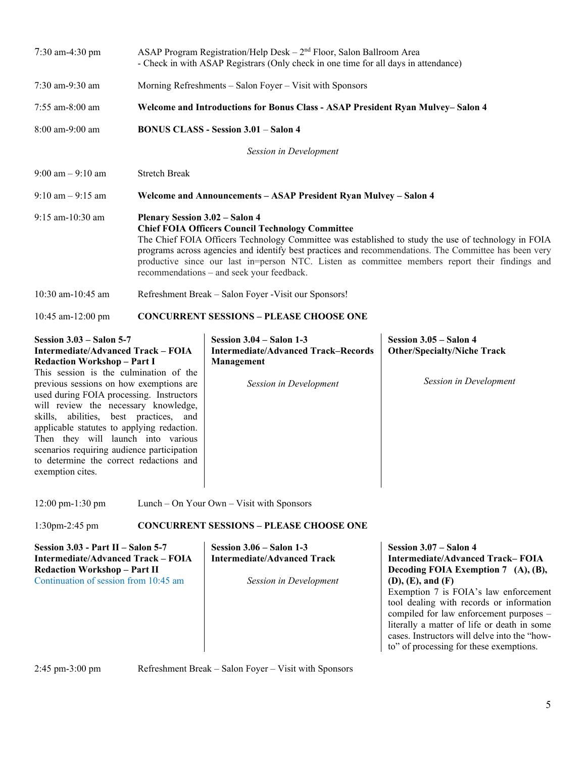| 7:30 am-4:30 pm                                                                                                                                                                                                                                                                                                                                                                                                                                                                                                                 | ASAP Program Registration/Help Desk - 2 <sup>nd</sup> Floor, Salon Ballroom Area<br>- Check in with ASAP Registrars (Only check in one time for all days in attendance)                                                                                                                                                                                                                                                                                         |                                                                                                                  |                                                                                                                               |
|---------------------------------------------------------------------------------------------------------------------------------------------------------------------------------------------------------------------------------------------------------------------------------------------------------------------------------------------------------------------------------------------------------------------------------------------------------------------------------------------------------------------------------|-----------------------------------------------------------------------------------------------------------------------------------------------------------------------------------------------------------------------------------------------------------------------------------------------------------------------------------------------------------------------------------------------------------------------------------------------------------------|------------------------------------------------------------------------------------------------------------------|-------------------------------------------------------------------------------------------------------------------------------|
| 7:30 am-9:30 am                                                                                                                                                                                                                                                                                                                                                                                                                                                                                                                 | Morning Refreshments – Salon Foyer – Visit with Sponsors                                                                                                                                                                                                                                                                                                                                                                                                        |                                                                                                                  |                                                                                                                               |
| 7:55 am-8:00 am                                                                                                                                                                                                                                                                                                                                                                                                                                                                                                                 | Welcome and Introductions for Bonus Class - ASAP President Ryan Mulvey– Salon 4                                                                                                                                                                                                                                                                                                                                                                                 |                                                                                                                  |                                                                                                                               |
| 8:00 am-9:00 am                                                                                                                                                                                                                                                                                                                                                                                                                                                                                                                 | <b>BONUS CLASS - Session 3.01 – Salon 4</b>                                                                                                                                                                                                                                                                                                                                                                                                                     |                                                                                                                  |                                                                                                                               |
|                                                                                                                                                                                                                                                                                                                                                                                                                                                                                                                                 |                                                                                                                                                                                                                                                                                                                                                                                                                                                                 | Session in Development                                                                                           |                                                                                                                               |
| $9:00$ am $-9:10$ am                                                                                                                                                                                                                                                                                                                                                                                                                                                                                                            | <b>Stretch Break</b>                                                                                                                                                                                                                                                                                                                                                                                                                                            |                                                                                                                  |                                                                                                                               |
| $9:10$ am $-9:15$ am                                                                                                                                                                                                                                                                                                                                                                                                                                                                                                            | Welcome and Announcements - ASAP President Ryan Mulvey - Salon 4                                                                                                                                                                                                                                                                                                                                                                                                |                                                                                                                  |                                                                                                                               |
| 9:15 am-10:30 am                                                                                                                                                                                                                                                                                                                                                                                                                                                                                                                | <b>Plenary Session 3.02 - Salon 4</b><br><b>Chief FOIA Officers Council Technology Committee</b><br>The Chief FOIA Officers Technology Committee was established to study the use of technology in FOIA<br>programs across agencies and identify best practices and recommendations. The Committee has been very<br>productive since our last in=person NTC. Listen as committee members report their findings and<br>recommendations - and seek your feedback. |                                                                                                                  |                                                                                                                               |
| 10:30 am-10:45 am                                                                                                                                                                                                                                                                                                                                                                                                                                                                                                               | Refreshment Break - Salon Foyer - Visit our Sponsors!                                                                                                                                                                                                                                                                                                                                                                                                           |                                                                                                                  |                                                                                                                               |
| 10:45 am-12:00 pm                                                                                                                                                                                                                                                                                                                                                                                                                                                                                                               |                                                                                                                                                                                                                                                                                                                                                                                                                                                                 | <b>CONCURRENT SESSIONS - PLEASE CHOOSE ONE</b>                                                                   |                                                                                                                               |
| <b>Session 3.03 - Salon 5-7</b><br>Intermediate/Advanced Track - FOIA<br><b>Redaction Workshop - Part I</b><br>This session is the culmination of the<br>previous sessions on how exemptions are<br>used during FOIA processing. Instructors<br>will review the necessary knowledge,<br>skills, abilities, best practices, and<br>applicable statutes to applying redaction.<br>Then they will launch into various<br>scenarios requiring audience participation<br>to determine the correct redactions and<br>exemption cites. |                                                                                                                                                                                                                                                                                                                                                                                                                                                                 | Session $3.04$ – Salon 1-3<br><b>Intermediate/Advanced Track-Records</b><br>Management<br>Session in Development | Session 3.05 - Salon 4<br><b>Other/Specialty/Niche Track</b><br>Session in Development                                        |
| $12:00 \text{ pm-}1:30 \text{ pm}$                                                                                                                                                                                                                                                                                                                                                                                                                                                                                              |                                                                                                                                                                                                                                                                                                                                                                                                                                                                 | Lunch – On Your Own – Visit with Sponsors                                                                        |                                                                                                                               |
| $1:30$ pm $-2:45$ pm                                                                                                                                                                                                                                                                                                                                                                                                                                                                                                            |                                                                                                                                                                                                                                                                                                                                                                                                                                                                 | <b>CONCURRENT SESSIONS - PLEASE CHOOSE ONE</b>                                                                   |                                                                                                                               |
| Session $3.03$ - Part II - Salon 5-7<br><b>Intermediate/Advanced Track - FOIA</b><br><b>Redaction Workshop - Part II</b><br>Continuation of session from 10:45 am                                                                                                                                                                                                                                                                                                                                                               |                                                                                                                                                                                                                                                                                                                                                                                                                                                                 | Session $3.06 -$ Salon 1-3<br><b>Intermediate/Advanced Track</b><br>Session in Development                       | Session 3.07 - Salon 4<br><b>Intermediate/Advanced Track-FOIA</b><br>Decoding FOIA Exemption 7 (A), (B),<br>(D), (E), and (F) |

Exemption 7 is FOIA's law enforcement tool dealing with records or information compiled for law enforcement purposes – literally a matter of life or death in some cases. Instructors will delve into the "howto" of processing for these exemptions.

2:45 pm-3:00 pm Refreshment Break – Salon Foyer – Visit with Sponsors